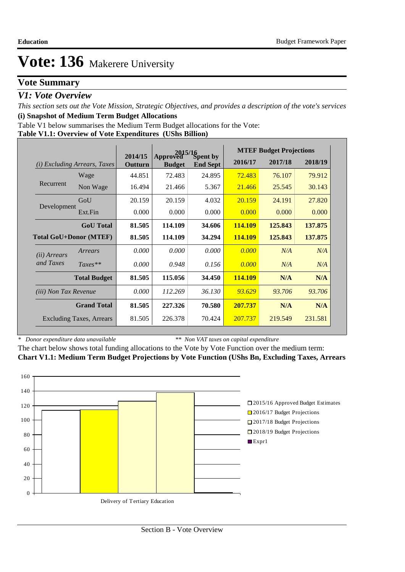## **Vote Summary**

### *V1: Vote Overview*

*This section sets out the Vote Mission, Strategic Objectives, and provides a description of the vote's services* **(i) Snapshot of Medium Term Budget Allocations** 

Table V1 below summarises the Medium Term Budget allocations for the Vote:

| Table V1.1: Overview of Vote Expenditures (UShs Billion) |
|----------------------------------------------------------|
|----------------------------------------------------------|

|                                                       |                                 |                    | 2015/16<br>Approved Sp |                             |         | <b>MTEF Budget Projections</b> |         |
|-------------------------------------------------------|---------------------------------|--------------------|------------------------|-----------------------------|---------|--------------------------------|---------|
| (i)                                                   | <b>Excluding Arrears, Taxes</b> | 2014/15<br>Outturn | <b>Budget</b>          | Spent by<br><b>End Sept</b> | 2016/17 | 2017/18                        | 2018/19 |
|                                                       | Wage                            | 44.851             | 72.483                 | 24.895                      | 72.483  | 76.107                         | 79.912  |
| Recurrent                                             | Non Wage                        | 16.494             | 21.466                 | 5.367                       | 21.466  | 25.545                         | 30.143  |
|                                                       | GoU                             | 20.159             | 20.159                 | 4.032                       | 20.159  | 24.191                         | 27.820  |
| Development                                           | Ext.Fin                         | 0.000              | 0.000                  | 0.000                       | 0.000   | 0.000                          | 0.000   |
|                                                       | <b>GoU</b> Total                | 81.505             | 114.109                | 34.606                      | 114.109 | 125.843                        | 137.875 |
| <b>Total GoU+Donor (MTEF)</b>                         |                                 | 81.505             | 114.109                | 34.294                      | 114.109 | 125.843                        | 137.875 |
| (ii) Arrears                                          | Arrears                         | 0.000              | 0.000                  | 0.000                       | 0.000   | N/A                            | N/A     |
| and Taxes                                             | $Taxes**$                       | 0.000              | 0.948                  | 0.156                       | 0.000   | N/A                            | N/A     |
|                                                       | <b>Total Budget</b>             | 81.505             | 115.056                | 34.450                      | 114.109 | N/A                            | N/A     |
| <i>(iii)</i> Non Tax Revenue                          |                                 | 0.000              | 112.269                | 36.130                      | 93.629  | 93.706                         | 93.706  |
| <b>Grand Total</b><br><b>Excluding Taxes, Arrears</b> |                                 | 81.505             | 227.326                | 70.580                      | 207.737 | N/A                            | N/A     |
|                                                       |                                 | 81.505             | 226.378                | 70.424                      | 207.737 | 219.549                        | 231.581 |

*\* Donor expenditure data unavailable*

*\*\* Non VAT taxes on capital expenditure*

The chart below shows total funding allocations to the Vote by Vote Function over the medium term: **Chart V1.1: Medium Term Budget Projections by Vote Function (UShs Bn, Excluding Taxes, Arrears**

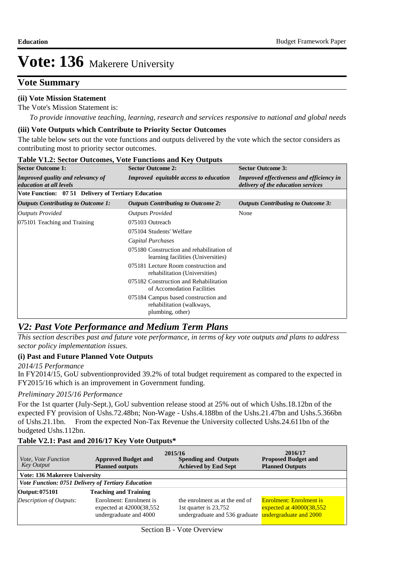## **Vote Summary**

### **(ii) Vote Mission Statement**

The Vote's Mission Statement is:

*To provide innovative teaching, learning, research and services responsive to national and global needs*

#### **(iii) Vote Outputs which Contribute to Priority Sector Outcomes**

The table below sets out the vote functions and outputs delivered by the vote which the sector considers as contributing most to priority sector outcomes.

| <b>Sector Outcome 1:</b>                                                   | <b>Sector Outcome 2:</b>                                                              | <b>Sector Outcome 3:</b>                                                              |
|----------------------------------------------------------------------------|---------------------------------------------------------------------------------------|---------------------------------------------------------------------------------------|
| <b>Improved quality and relevancy of</b><br><i>education at all levels</i> | <b>Improved</b> equitable access to education                                         | <b>Improved effectiveness and efficiency in</b><br>delivery of the education services |
| Vote Function: 07 51 Delivery of Tertiary Education                        |                                                                                       |                                                                                       |
| Outputs Contributing to Outcome 1:                                         | <b>Outputs Contributing to Outcome 2:</b>                                             | Outputs Contributing to Outcome 3:                                                    |
| <b>Outputs Provided</b>                                                    | <b>Outputs Provided</b>                                                               | None                                                                                  |
| 075101 Teaching and Training                                               | 075103 Outreach                                                                       |                                                                                       |
|                                                                            | 075104 Students' Welfare                                                              |                                                                                       |
|                                                                            | Capital Purchases                                                                     |                                                                                       |
|                                                                            | 075180 Construction and rehabilitation of<br>learning facilities (Universities)       |                                                                                       |
|                                                                            | 075181 Lecture Room construction and<br>rehabilitation (Universities)                 |                                                                                       |
|                                                                            | 075182 Construction and Rehabilitation<br>of Accomodation Facilities                  |                                                                                       |
|                                                                            | 075184 Campus based construction and<br>rehabilitation (walkways,<br>plumbing, other) |                                                                                       |

#### **Table V1.2: Sector Outcomes, Vote Functions and Key Outputs**

### *V2: Past Vote Performance and Medium Term Plans*

*This section describes past and future vote performance, in terms of key vote outputs and plans to address sector policy implementation issues.* 

#### **(i) Past and Future Planned Vote Outputs**

#### *2014/15 Performance*

In FY2014/15, GoU subventionprovided 39.2% of total budget requirement as compared to the expected in FY2015/16 which is an improvement in Government funding.

#### *Preliminary 2015/16 Performance*

For the 1st quarter (July-Sept.), GoU subvention release stood at 25% out of which Ushs.18.12bn of the expected FY provision of Ushs.72.48bn; Non-Wage - Ushs.4.188bn of the Ushs.21.47bn and Ushs.5.366bn of Ushs.21.1bn. From the expected Non-Tax Revenue the University collected Ushs.24.611bn of the budgeted Ushs.112bn.

### **Table V2.1: Past and 2016/17 Key Vote Outputs\***

| Vote, Vote Function<br>Key Output | <b>Approved Budget and</b><br><b>Planned outputs</b>                             | 2015/16<br><b>Spending and Outputs</b><br><b>Achieved by End Sept</b>                     | 2016/17<br><b>Proposed Budget and</b><br><b>Planned Outputs</b>                         |  |  |  |  |  |  |  |  |  |
|-----------------------------------|----------------------------------------------------------------------------------|-------------------------------------------------------------------------------------------|-----------------------------------------------------------------------------------------|--|--|--|--|--|--|--|--|--|
|                                   | <b>Vote: 136 Makerere University</b>                                             |                                                                                           |                                                                                         |  |  |  |  |  |  |  |  |  |
|                                   | Vote Function: 0751 Delivery of Tertiary Education                               |                                                                                           |                                                                                         |  |  |  |  |  |  |  |  |  |
| Output: 075101                    | <b>Teaching and Training</b>                                                     |                                                                                           |                                                                                         |  |  |  |  |  |  |  |  |  |
| Description of Outputs:           | Enrolment: Enrolment is<br>expected at $42000(38,552)$<br>undergraduate and 4000 | the enrolment as at the end of<br>1st quarter is 23,752<br>undergraduate and 536 graduate | <b>Enrolment: Enrolment is</b><br>expected at $40000(38,552)$<br>undergraduate and 2000 |  |  |  |  |  |  |  |  |  |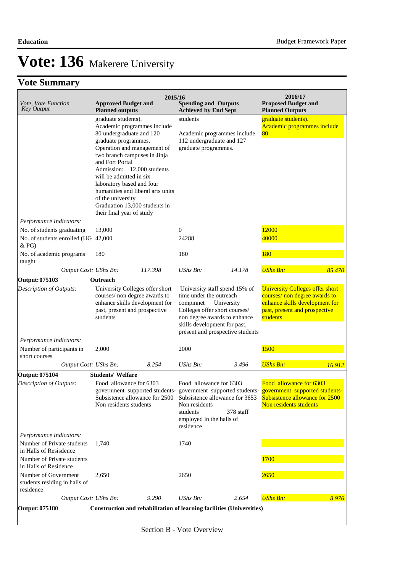# **Vote: 136** Makerere University

# **Vote Summary**

| Vote, Vote Function<br><b>Key Output</b>                           | <b>Approved Budget and</b><br><b>Planned outputs</b>                                                                                                                                                                                                                                                                                                                                                                                                        | 2015/16 | <b>Spending and Outputs</b><br><b>Achieved by End Sept</b>                                            |                                                                                                                 | 2016/17<br><b>Proposed Budget and</b><br><b>Planned Outputs</b>                                                                                        |        |                                                          |  |
|--------------------------------------------------------------------|-------------------------------------------------------------------------------------------------------------------------------------------------------------------------------------------------------------------------------------------------------------------------------------------------------------------------------------------------------------------------------------------------------------------------------------------------------------|---------|-------------------------------------------------------------------------------------------------------|-----------------------------------------------------------------------------------------------------------------|--------------------------------------------------------------------------------------------------------------------------------------------------------|--------|----------------------------------------------------------|--|
|                                                                    | graduate students).<br>Academic programmes include<br>80 undergraduate and 120<br>graduate programmes.<br>112 undergraduate and 127<br>Operation and management of<br>graduate programmes.<br>two branch campuses in Jinja<br>and Fort Portal<br>Admission: 12,000 students<br>will be admitted in six<br>laboratory based and four<br>humanities and liberal arts units<br>of the university<br>Graduation 13,000 students in<br>their final year of study |         | students<br>Academic programmes include                                                               |                                                                                                                 |                                                                                                                                                        |        | graduate students).<br>Academic programmes include<br>80 |  |
| Performance Indicators:                                            |                                                                                                                                                                                                                                                                                                                                                                                                                                                             |         |                                                                                                       |                                                                                                                 |                                                                                                                                                        |        |                                                          |  |
| No. of students graduating<br>No. of students enrolled (UG 42,000  | 13,000                                                                                                                                                                                                                                                                                                                                                                                                                                                      |         | $\boldsymbol{0}$<br>24288                                                                             |                                                                                                                 | 12000<br>40000                                                                                                                                         |        |                                                          |  |
| & PG<br>No. of academic programs<br>taught                         | 180                                                                                                                                                                                                                                                                                                                                                                                                                                                         |         | 180                                                                                                   |                                                                                                                 | 180                                                                                                                                                    |        |                                                          |  |
| Output Cost: UShs Bn:                                              |                                                                                                                                                                                                                                                                                                                                                                                                                                                             | 117.398 | <b>UShs Bn:</b>                                                                                       | 14.178                                                                                                          | <b>UShs Bn:</b>                                                                                                                                        | 85.470 |                                                          |  |
| Output: 075103                                                     | Outreach                                                                                                                                                                                                                                                                                                                                                                                                                                                    |         |                                                                                                       |                                                                                                                 |                                                                                                                                                        |        |                                                          |  |
| Description of Outputs:                                            | University Colleges offer short<br>courses/ non degree awards to<br>enhance skills development for<br>past, present and prospective<br>students                                                                                                                                                                                                                                                                                                             |         | time under the outreach<br>compinnet<br>Colleges offer short courses/<br>skills development for past, | University staff spend 15% of<br>University<br>non degree awards to enhance<br>present and prospective students | <b>University Colleges offer short</b><br>courses/ non degree awards to<br>enhance skills development for<br>past, present and prospective<br>students |        |                                                          |  |
| Performance Indicators:                                            |                                                                                                                                                                                                                                                                                                                                                                                                                                                             |         |                                                                                                       |                                                                                                                 |                                                                                                                                                        |        |                                                          |  |
| Number of participants in<br>short courses                         | 2,000                                                                                                                                                                                                                                                                                                                                                                                                                                                       |         | 2000                                                                                                  |                                                                                                                 | 1500                                                                                                                                                   |        |                                                          |  |
| Output Cost: UShs Bn:                                              |                                                                                                                                                                                                                                                                                                                                                                                                                                                             | 8.254   | <b>UShs Bn:</b>                                                                                       | 3.496                                                                                                           | <b>UShs Bn:</b>                                                                                                                                        | 16.912 |                                                          |  |
| Output: 075104<br>Description of Outputs:                          | <b>Students' Welfare</b><br>Food allowance for 6303<br>government supported students- government supported students- government supported students-<br>Subsistence allowance for 2500<br>Non residents students                                                                                                                                                                                                                                             |         | Food allowance for 6303<br>Non residents<br>students<br>employed in the halls of<br>residence         | Subsistence allowance for 3653<br>378 staff                                                                     | Food allowance for 6303<br>Subsistence allowance for 2500<br>Non residents students                                                                    |        |                                                          |  |
| Performance Indicators:                                            |                                                                                                                                                                                                                                                                                                                                                                                                                                                             |         |                                                                                                       |                                                                                                                 |                                                                                                                                                        |        |                                                          |  |
| Number of Private students<br>in Halls of Resisdence               | 1,740                                                                                                                                                                                                                                                                                                                                                                                                                                                       |         | 1740                                                                                                  |                                                                                                                 |                                                                                                                                                        |        |                                                          |  |
| Number of Private students<br>in Halls of Residence                |                                                                                                                                                                                                                                                                                                                                                                                                                                                             |         |                                                                                                       |                                                                                                                 | 1700                                                                                                                                                   |        |                                                          |  |
| Number of Government<br>students residing in halls of<br>residence | 2,650                                                                                                                                                                                                                                                                                                                                                                                                                                                       |         | 2650                                                                                                  |                                                                                                                 | 2650                                                                                                                                                   |        |                                                          |  |
| Output Cost: UShs Bn:                                              |                                                                                                                                                                                                                                                                                                                                                                                                                                                             | 9.290   | UShs Bn:                                                                                              | 2.654                                                                                                           | <b>UShs Bn:</b>                                                                                                                                        | 8.976  |                                                          |  |
| Output: 075180                                                     | Construction and rehabilitation of learning facilities (Universities)                                                                                                                                                                                                                                                                                                                                                                                       |         |                                                                                                       |                                                                                                                 |                                                                                                                                                        |        |                                                          |  |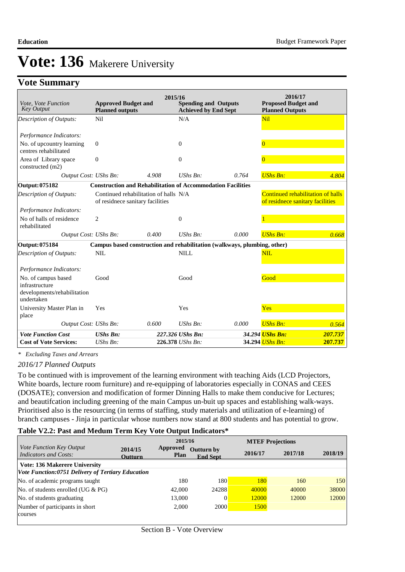## **Vote Summary**

| Vote, Vote Function<br><b>Key Output</b>                                           | <b>Approved Budget and</b><br><b>Planned outputs</b>               | 2015/16                               | <b>Spending and Outputs</b><br><b>Achieved by End Sept</b> |                                                                          | 2016/17<br><b>Proposed Budget and</b><br><b>Planned Outputs</b>       |         |
|------------------------------------------------------------------------------------|--------------------------------------------------------------------|---------------------------------------|------------------------------------------------------------|--------------------------------------------------------------------------|-----------------------------------------------------------------------|---------|
| <b>Description of Outputs:</b>                                                     | Nil                                                                |                                       | N/A                                                        |                                                                          | <b>Nil</b>                                                            |         |
|                                                                                    |                                                                    |                                       |                                                            |                                                                          |                                                                       |         |
| Performance Indicators:                                                            |                                                                    |                                       |                                                            |                                                                          |                                                                       |         |
| No. of upcountry learning<br>centres rehabilitated                                 | $\mathbf{0}$                                                       |                                       | $\overline{0}$                                             |                                                                          | $\overline{0}$                                                        |         |
| Area of Library space<br>constructed (m2)                                          | $\overline{0}$                                                     |                                       | $\overline{0}$                                             |                                                                          | $\mathbf{0}$                                                          |         |
| Output Cost: UShs Bn:                                                              |                                                                    | 4.908                                 | $UShs Bn$ :                                                | 0.764                                                                    | <b>UShs Bn:</b>                                                       | 4.804   |
| <b>Output: 075182</b>                                                              | <b>Construction and Rehabilitation of Accommodation Facilities</b> |                                       |                                                            |                                                                          |                                                                       |         |
| Description of Outputs:                                                            | of residnece sanitary facilities                                   | Continued rehabilitation of halls N/A |                                                            |                                                                          | Continued rehabilitation of halls<br>of residnece sanitary facilities |         |
| Performance Indicators:                                                            |                                                                    |                                       |                                                            |                                                                          |                                                                       |         |
| No of halls of residence<br>rehabilitated                                          | $\overline{c}$                                                     |                                       | $\overline{0}$                                             |                                                                          |                                                                       |         |
| Output Cost: UShs Bn:                                                              |                                                                    | 0.400                                 | UShs Bn:                                                   | 0.000                                                                    | <b>UShs Bn:</b>                                                       | 0.668   |
| <b>Output: 075184</b>                                                              |                                                                    |                                       |                                                            | Campus based construction and rehabilitation (walkways, plumbing, other) |                                                                       |         |
| Description of Outputs:                                                            | <b>NIL</b>                                                         |                                       | <b>NILL</b>                                                |                                                                          | NIL.                                                                  |         |
| Performance Indicators:                                                            |                                                                    |                                       |                                                            |                                                                          |                                                                       |         |
| No. of campus based<br>infrastructure<br>developments/rehabilitation<br>undertaken | Good                                                               |                                       | Good                                                       |                                                                          | Good                                                                  |         |
| University Master Plan in                                                          | Yes                                                                |                                       | Yes                                                        |                                                                          | Yes                                                                   |         |
| place                                                                              |                                                                    |                                       |                                                            |                                                                          |                                                                       |         |
| Output Cost: UShs Bn:                                                              |                                                                    | 0.600                                 | UShs Bn:                                                   | 0.000                                                                    | <b>UShs Bn:</b>                                                       | 0.564   |
| <b>Vote Function Cost</b>                                                          | <b>UShs Bn:</b>                                                    |                                       | 227.326 UShs Bn:                                           |                                                                          | 34.294 UShs Bn:                                                       | 207.737 |
| <b>Cost of Vote Services:</b>                                                      | UShs Bn:                                                           |                                       | 226.378 UShs Bn:                                           |                                                                          | 34.294 UShs Bn:                                                       | 207.737 |

*\* Excluding Taxes and Arrears*

#### *2016/17 Planned Outputs*

To be continued with is improvement of the learning environment with teaching Aids (LCD Projectors, White boards, lecture room furniture) and re-equipping of laboratories especially in CONAS and CEES (DOSATE); conversion and modification of former Dinning Halls to make them conducive for Lectures; and beautifcation including greening of the main Campus un-buit up spaces and establishing walk-ways. Prioritised also is the resourcing (in terms of staffing, study materials and utilization of e-learning) of branch campuses - Jinja in particular whose numbers now stand at 800 students and has potential to grow.

### **Table V2.2: Past and Medum Term Key Vote Output Indicators\***

|                                                   |                           | 2015/16                 |                                      |         | <b>MTEF Projections</b> |         |  |
|---------------------------------------------------|---------------------------|-------------------------|--------------------------------------|---------|-------------------------|---------|--|
| Vote Function Key Output<br>Indicators and Costs: | 2014/15<br><b>Outturn</b> | Approved<br><b>Plan</b> | <b>Outturn by</b><br><b>End Sept</b> | 2016/17 | 2017/18                 | 2018/19 |  |
| Vote: 136 Makerere University                     |                           |                         |                                      |         |                         |         |  |
| Vote Function:0751 Delivery of Tertiary Education |                           |                         |                                      |         |                         |         |  |
| No. of academic programs taught                   |                           | 180                     | 180                                  | 180     | 160                     | 150     |  |
| No. of students enrolled (UG $& PG$ )             |                           | 42,000                  | 24288                                | 40000   | 40000                   | 38000   |  |
| No. of students graduating                        |                           | 13,000                  | $\Omega$                             | 12000   | 12000                   | 12000   |  |
| Number of participants in short                   |                           | 2.000                   | <b>2000</b>                          | 1500    |                         |         |  |
| courses                                           |                           |                         |                                      |         |                         |         |  |
|                                                   |                           |                         |                                      |         |                         |         |  |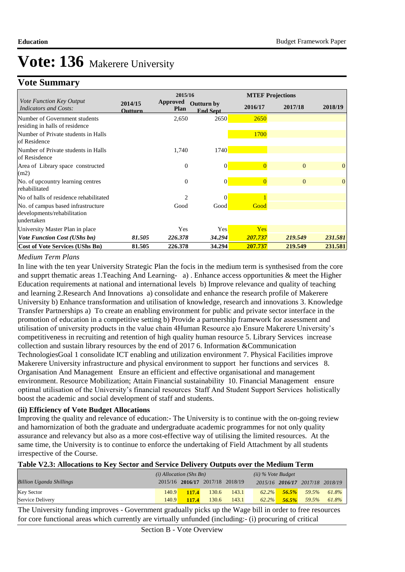## **Vote Summary**

|                                                                                  |                    | 2015/16                        |                                      |                | <b>MTEF Projections</b> |              |
|----------------------------------------------------------------------------------|--------------------|--------------------------------|--------------------------------------|----------------|-------------------------|--------------|
| Vote Function Key Output<br><b>Indicators and Costs:</b>                         | 2014/15<br>Outturn | <b>Approved</b><br><b>Plan</b> | <b>Outturn by</b><br><b>End Sept</b> | 2016/17        | 2017/18                 | 2018/19      |
| Number of Government students<br>residing in halls of residence                  |                    | 2,650                          | 2650                                 | 2650           |                         |              |
| Number of Private students in Halls<br>of Residence                              |                    |                                |                                      | <b>1700</b>    |                         |              |
| Number of Private students in Halls<br>of Resisdence                             |                    | 1,740                          | 1740                                 |                |                         |              |
| Area of Library space constructed<br>(m2)                                        |                    | $\overline{0}$                 | $\overline{0}$                       | $\overline{0}$ | $\theta$                | $\theta$     |
| No. of upcountry learning centres<br>rehabilitated                               |                    | $\mathbf{0}$                   | $\overline{0}$                       | $\overline{0}$ | $\Omega$                | $\mathbf{0}$ |
| No of halls of residence rehabilitated                                           |                    | $\overline{c}$                 | $\theta$                             |                |                         |              |
| No. of campus based infrastructure<br>developments/rehabilitation<br>lundertaken |                    | Good                           | Good                                 | Good           |                         |              |
| University Master Plan in place                                                  |                    | Yes                            | Yes                                  | Yes            |                         |              |
| <b>Vote Function Cost (UShs bn)</b>                                              | 81.505             | 226.378                        | 34.294                               | 207.737        | 219.549                 | 231.581      |
| <b>Cost of Vote Services (UShs Bn)</b>                                           | 81.505             | 226.378                        | 34.294                               | 207.737        | 219.549                 | 231.581      |

### *Medium Term Plans*

In line with the ten year University Strategic Plan the focis in the medium term is synthesised from the core and supprt thematic areas 1.Teaching And Learning- a) . Enhance access opportunities & meet the Higher Education requirements at national and international levels b) Improve relevance and quality of teaching and learning 2.Research And Innovations a) consolidate and enhance the research profile of Makerere University b) Enhance transformation and utilisation of knowledge, research and innovations 3. Knowledge Transfer Partnerships a) To create an enabling environment for public and private sector interface in the promotion of education in a competitive setting b) Provide a partnership framework for assessment and utilisation of university products in the value chain 4Human Resource a)o Ensure Makerere University's competitiveness in recruiting and retention of high quality human resource 5. Library Services increase collection and sustain library resources by the end of 2017 6. Information &Communication Technologies Goal 1 consolidate ICT enabling and utilization environment 7. Physical Facilities improve Makerere University infrastructure and physical environment to support her functions and services 8. Organisation And Management Ensure an efficient and effective organisational and management environment. Resource Mobilization; Attain Financial sustainability 10. Financial Management ensure optimal utilisation of the University's financial resources Staff And Student Support Services holistically boost the academic and social development of staff and students.

#### **(ii) Efficiency of Vote Budget Allocations**

Improving the quality and relevance of education:- The University is to continue with the on-going review and hamornization of both the graduate and undergraduate academic programmes for not only quality assurance and relevancy but also as a more cost-effective way of utilising the limited resources. At the same time, the University is to continue to enforce the undertaking of Field Attachment by all students irrespective of the Course.

#### **Table V2.3: Allocations to Key Sector and Service Delivery Outputs over the Medium Term**

|                                 | $(i)$ Allocation (Shs Bn) |              |                                 |       | $(ii)$ % Vote Budget |       |                                 |       |
|---------------------------------|---------------------------|--------------|---------------------------------|-------|----------------------|-------|---------------------------------|-------|
| <b>Billion Uganda Shillings</b> |                           |              | 2015/16 2016/17 2017/18 2018/19 |       |                      |       | 2015/16 2016/17 2017/18 2018/19 |       |
| <b>Key Sector</b>               | 140.9                     | <b>117.4</b> | 130.6                           | 143.1 | $62.2\%$             | 56.5% | 59.5%                           | 61.8% |
| Service Delivery                | 140.9                     | 117.4        | 130.6                           | 143.1 | 62.2%                | 56.5% | 59.5%                           | 61.8% |

The University funding improves - Government gradually picks up the Wage bill in order to free resources for core functional areas which currently are virtually unfunded (including:- (i) procuring of critical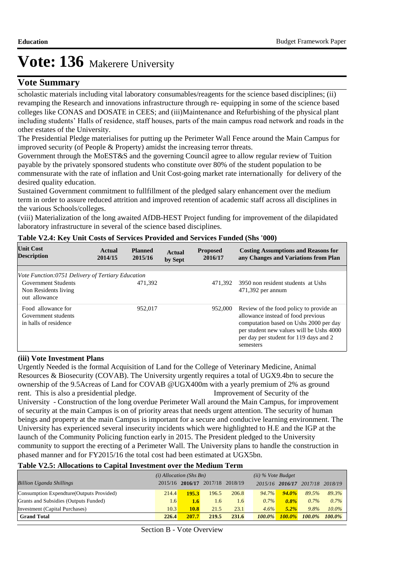## **Vote Summary**

scholastic materials including vital laboratory consumables/reagents for the science based disciplines; (ii) revamping the Research and innovations infrastructure through re- equipping in some of the science based colleges like CONAS and DOSATE in CEES; and (iii) Maintenance and Refurbishing of the physical plant including students' Halls of residence, staff houses, parts of the main campus road network and roads in the other estates of the University.

The Presidential Pledge materialises for putting up the Perimeter Wall Fence around the Main Campus for improved security (of People & Property) amidst the increasing terror threats.

Government through the MoEST&S and the governing Council agree to allow regular review of Tuition payable by the privately sponsored students who constitute over 80% of the student population to be commensurate with the rate of inflation and Unit Cost-going market rate internationally for delivery of the desired quality education.

Sustained Government commitment to fullfillment of the pledged salary enhancement over the medium term in order to assure reduced attrition and improved retention of academic staff across all disciplines in the various Schools/colleges.

(viii) Materialization of the long awaited AfDB-HEST Project funding for improvement of the dilapidated laboratory infrastructure in several of the science based disciplines.

| <b>Unit Cost</b><br><b>Description</b>                              | Actual<br>2014/15 | <b>Planned</b><br>2015/16 | <b>Actual</b><br>by Sept | <b>Proposed</b><br>2016/17 | <b>Costing Assumptions and Reasons for</b><br>any Changes and Variations from Plan                                                                                                                                         |
|---------------------------------------------------------------------|-------------------|---------------------------|--------------------------|----------------------------|----------------------------------------------------------------------------------------------------------------------------------------------------------------------------------------------------------------------------|
|                                                                     |                   |                           |                          |                            |                                                                                                                                                                                                                            |
| Vote Function:0751 Delivery of Tertiary Education                   |                   |                           |                          |                            |                                                                                                                                                                                                                            |
| <b>Government Students</b><br>Non Residents living<br>out allowance |                   | 471.392                   |                          |                            | 471.392 3950 non resident students at Ushs<br>$471,392$ per annum                                                                                                                                                          |
| Food allowance for<br>Government students<br>in halls of residence  |                   | 952,017                   |                          | 952,000                    | Review of the food policy to provide an<br>allowance instead of food previous<br>computation based on Ushs 2000 per day<br>per student new values will be Ushs 4000<br>per day per student for 119 days and 2<br>semesters |

### **Table V2.4: Key Unit Costs of Services Provided and Services Funded (Shs '000)**

#### **(iii) Vote Investment Plans**

 Urgently Needed is the formal Acquisition of Land for the College of Veterinary Medicine, Animal Resources & Biosecurity (COVAB). The University urgently requires a total of UGX9.4bn to secure the ownership of the 9.5Acreas of Land for COVAB @UGX400m with a yearly premium of 2% as ground rent. This is also a presidential pledge. Improvement of Security of the University - Construction of the long overdue Perimeter Wall around the Main Campus, for improvement of security at the main Campus is on of priority areas that needs urgent attention. The security of human beings and property at the main Campus is important for a secure and conducive learning environment. The University has experienced several insecurity incidents which were highlighted to H.E and the IGP at the launch of the Community Policing function early in 2015. The President pledged to the University community to support the erecting of a Perimeter Wall. The University plans to handle the construction in phased manner and for FY2015/16 the total cost had been estimated at UGX5bn.

#### **Table V2.5: Allocations to Capital Investment over the Medium Term**

|                                           | $(i)$ Allocation (Shs Bn) |                                 |       | $(ii)$ % Vote Budget |           |                 |           |                 |
|-------------------------------------------|---------------------------|---------------------------------|-------|----------------------|-----------|-----------------|-----------|-----------------|
| <b>Billion Uganda Shillings</b>           |                           | 2015/16 2016/17 2017/18 2018/19 |       |                      |           | 2015/16 2016/17 |           | 2017/18 2018/19 |
| Consumption Expendture (Outputs Provided) | 214.4                     | 195.3                           | 196.5 | 206.8                | $94.7\%$  | $94.0\%$        | 89.5%     | 89.3%           |
| Grants and Subsidies (Outputs Funded)     | 1.6                       | $1.6^{\circ}$                   | 1.6   | 1.6                  | $0.7\%$   | $0.8\%$         | $0.7\%$   | $0.7\%$         |
| Investment (Capital Purchases)            | 10.3                      | 10.8                            | 21.5  | 23.1                 | 4.6%      | $5.2\%$         | 9.8%      | $10.0\%$        |
| <b>Grand Total</b>                        | 226.4                     | 207.7                           | 219.5 | 231.6                | $100.0\%$ | $100.0\%$       | $100.0\%$ | $100.0\%$       |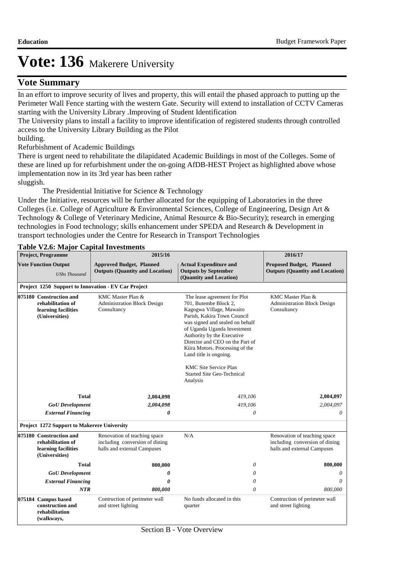## **Vote Summary**

In an effort to improve security of lives and property, this will entail the phased approach to putting up the Perimeter Wall Fence starting with the western Gate. Security will extend to installation of CCTV Cameras starting with the University Library .Improving of Student Identification

The University plans to install a facility to improve identification of registered students through controlled access to the University Library Building as the Pilot

building.

Refurbishment of Academic Buildings

There is urgent need to rehabilitate the dilapidated Academic Buildings in most of the Colleges. Some of these are lined up for refurbishment under the on-going AfDB-HEST Project as highlighted above whose implementation now in its 3rd year has been rather sluggish.

The Presidential Initiative for Science & Technology

Under the Initiative, resources will be further allocated for the equipping of Laboratories in the three Colleges (i.e. College of Agriculture & Environmental Sciences, College of Engineering, Design Art & Technology & College of Veterinary Medicine, Animal Resource & Bio-Security); research in emerging technologies in Food technology; skills enhancement under SPEDA and Research & Development in transport technologies under the Centre for Research in Transport Technologies

### **Table V2.6: Major Capital Investments**

| <b>Project, Programme</b>                                                             | 2015/16                                                                                       |                                                                                                                                                                                                                                                                                                                                                                                                   | 2016/17                                                                                       |  |
|---------------------------------------------------------------------------------------|-----------------------------------------------------------------------------------------------|---------------------------------------------------------------------------------------------------------------------------------------------------------------------------------------------------------------------------------------------------------------------------------------------------------------------------------------------------------------------------------------------------|-----------------------------------------------------------------------------------------------|--|
| <b>Vote Function Output</b><br><b>UShs Thousand</b>                                   | <b>Approved Budget, Planned</b><br><b>Outputs (Quantity and Location)</b>                     | <b>Actual Expenditure and</b><br><b>Outputs by September</b><br>(Quantity and Location)                                                                                                                                                                                                                                                                                                           | <b>Proposed Budget, Planned</b><br><b>Outputs (Quantity and Location)</b>                     |  |
|                                                                                       | Project 1250 Support to Innovation - EV Car Project                                           |                                                                                                                                                                                                                                                                                                                                                                                                   |                                                                                               |  |
| 075180 Construction and<br>rehabilitation of<br>learning facilities<br>(Universities) | KMC Master Plan &<br><b>Administration Block Design</b><br>Consultancy                        | The lease agreement for Plot<br>701, Butembe Block 2,<br>Kagogwa Village, Mawaito<br>Parish, Kakira Town Council<br>was signed and sealed on behalf<br>of Uganda Uganda Investment<br>Authority by the Executive<br>Director and CEO on the Part of<br>Kiira Motors. Processing of the<br>Land title is ongoing.<br><b>KMC Site Service Plan</b><br><b>Started Site Geo-Technical</b><br>Analysis | KMC Master Plan &<br><b>Administration Block Design</b><br>Consultancy                        |  |
| <b>Total</b>                                                                          | 2,004,098                                                                                     | 419,106                                                                                                                                                                                                                                                                                                                                                                                           | 2,004,097                                                                                     |  |
| <b>GoU</b> Development                                                                | 2,004,098                                                                                     | 419,106                                                                                                                                                                                                                                                                                                                                                                                           | 2,004,097                                                                                     |  |
| <b>External Financing</b>                                                             | 0                                                                                             | 0                                                                                                                                                                                                                                                                                                                                                                                                 | $\theta$                                                                                      |  |
| <b>Project 1272 Support to Makerere University</b>                                    |                                                                                               |                                                                                                                                                                                                                                                                                                                                                                                                   |                                                                                               |  |
| 075180 Construction and<br>rehabilitation of<br>learning facilities<br>(Universities) | Renovation of teaching space<br>including conversion of dining<br>halls and external Campuses | N/A                                                                                                                                                                                                                                                                                                                                                                                               | Renovation of teaching space<br>including conversion of dining<br>halls and external Campuses |  |
| Total                                                                                 | 800,000                                                                                       | $\theta$                                                                                                                                                                                                                                                                                                                                                                                          | 800,000                                                                                       |  |
| <b>GoU</b> Development                                                                | 0                                                                                             | 0                                                                                                                                                                                                                                                                                                                                                                                                 | 0                                                                                             |  |
| <b>External Financing</b>                                                             | 0                                                                                             | 0                                                                                                                                                                                                                                                                                                                                                                                                 | $\theta$                                                                                      |  |
| <b>NTR</b>                                                                            | 800,000                                                                                       | 0                                                                                                                                                                                                                                                                                                                                                                                                 | 800,000                                                                                       |  |
| 075184 Campus based<br>construction and<br>rehabilitation<br>(walkways,               | Contruction of perimeter wall<br>and street lighting                                          | No funds allocated in this<br>quarter                                                                                                                                                                                                                                                                                                                                                             | Contruction of perimeter wall<br>and street lighting                                          |  |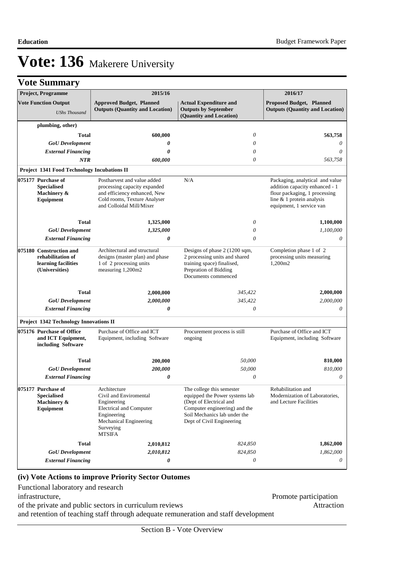|                                                     | <b>Vote Summary</b>                                                                   |                                                                                                                                                                                                                                                                 |                                                                                                                                                                                      |                                                                                                                                                             |  |
|-----------------------------------------------------|---------------------------------------------------------------------------------------|-----------------------------------------------------------------------------------------------------------------------------------------------------------------------------------------------------------------------------------------------------------------|--------------------------------------------------------------------------------------------------------------------------------------------------------------------------------------|-------------------------------------------------------------------------------------------------------------------------------------------------------------|--|
|                                                     | Project, Programme                                                                    | 2015/16                                                                                                                                                                                                                                                         |                                                                                                                                                                                      | 2016/17                                                                                                                                                     |  |
| <b>Vote Function Output</b><br><b>UShs Thousand</b> |                                                                                       | <b>Approved Budget, Planned</b><br><b>Outputs (Quantity and Location)</b>                                                                                                                                                                                       | <b>Actual Expenditure and</b><br><b>Outputs by September</b><br>(Quantity and Location)                                                                                              | <b>Proposed Budget, Planned</b><br><b>Outputs (Quantity and Location)</b>                                                                                   |  |
|                                                     | plumbing, other)                                                                      |                                                                                                                                                                                                                                                                 |                                                                                                                                                                                      |                                                                                                                                                             |  |
|                                                     | <b>Total</b>                                                                          | 600,000                                                                                                                                                                                                                                                         | $\theta$                                                                                                                                                                             | 563,758                                                                                                                                                     |  |
|                                                     | <b>GoU</b> Development                                                                | 0                                                                                                                                                                                                                                                               | $\theta$                                                                                                                                                                             | $\theta$                                                                                                                                                    |  |
|                                                     | <b>External Financing</b>                                                             | 0                                                                                                                                                                                                                                                               | $\theta$                                                                                                                                                                             | $\theta$                                                                                                                                                    |  |
|                                                     | <b>NTR</b>                                                                            | 600,000                                                                                                                                                                                                                                                         | $\theta$                                                                                                                                                                             | 563,758                                                                                                                                                     |  |
|                                                     | <b>Project 1341 Food Technology Incubations II</b>                                    |                                                                                                                                                                                                                                                                 |                                                                                                                                                                                      |                                                                                                                                                             |  |
|                                                     | 075177 Purchase of<br><b>Specialised</b><br>Machinery &<br>Equipment                  | Postharvest and value added<br>processing capacity expanded<br>and efficiency enhanced, New<br>Cold rooms, Texture Analyser<br>and Colloidal Mill/Mixer                                                                                                         | N/A                                                                                                                                                                                  | Packaging, analytical and value<br>addition capacity enhanced - 1<br>flour packaging, 1 processing<br>line & 1 protein analysis<br>equipment, 1 service van |  |
|                                                     | <b>Total</b>                                                                          | 1,325,000                                                                                                                                                                                                                                                       | 0                                                                                                                                                                                    | 1,100,000                                                                                                                                                   |  |
|                                                     | <b>GoU</b> Development                                                                | 1,325,000                                                                                                                                                                                                                                                       | 0                                                                                                                                                                                    | 1,100,000                                                                                                                                                   |  |
|                                                     | <b>External Financing</b>                                                             | 0                                                                                                                                                                                                                                                               | $\theta$                                                                                                                                                                             | 0                                                                                                                                                           |  |
|                                                     | 075180 Construction and<br>rehabilitation of<br>learning facilities<br>(Universities) | Architectural and structural<br>Designs of phase 2 (1200 sqm,<br>2 processing units and shared<br>designs (master plan) and phase<br>1 of 2 processing units<br>training space) finalised,<br>measuring 1,200m2<br>Prepration of Bidding<br>Documents commenced |                                                                                                                                                                                      | Completion phase 1 of 2<br>processing units measuring<br>1,200m2                                                                                            |  |
|                                                     | <b>Total</b>                                                                          | 2,000,000                                                                                                                                                                                                                                                       | 345,422                                                                                                                                                                              | 2,000,000                                                                                                                                                   |  |
|                                                     | <b>GoU</b> Development                                                                | 2,000,000                                                                                                                                                                                                                                                       | 345,422                                                                                                                                                                              | 2,000,000                                                                                                                                                   |  |
|                                                     | <b>External Financing</b>                                                             | 0                                                                                                                                                                                                                                                               | $\theta$                                                                                                                                                                             | 0                                                                                                                                                           |  |
|                                                     | Project 1342 Technology Innovations II                                                |                                                                                                                                                                                                                                                                 |                                                                                                                                                                                      |                                                                                                                                                             |  |
|                                                     | 075176 Purchase of Office<br>and ICT Equipment,<br>including Software                 | Purchase of Office and ICT<br>Equipment, including Software                                                                                                                                                                                                     | Procurement process is still<br>ongoing                                                                                                                                              | Purchase of Office and ICT<br>Equipment, including Software                                                                                                 |  |
|                                                     | Total                                                                                 | 200,000                                                                                                                                                                                                                                                         | 50,000                                                                                                                                                                               | 810,000                                                                                                                                                     |  |
|                                                     | <b>GoU</b> Development                                                                | 200,000                                                                                                                                                                                                                                                         | 50,000                                                                                                                                                                               | 810,000                                                                                                                                                     |  |
|                                                     | <b>External Financing</b>                                                             | 0                                                                                                                                                                                                                                                               | $\theta$                                                                                                                                                                             | $\theta$                                                                                                                                                    |  |
|                                                     | 075177 Purchase of<br><b>Specialised</b><br>Machinery &<br>Equipment                  | Architecture<br>Civil and Enviromental<br>Engineering<br><b>Electrical and Computer</b><br>Engineering<br>Mechanical Engineering<br>Surveying<br><b>MTSIFA</b>                                                                                                  | The college this semester<br>equipped the Power systems lab<br>(Dept of Electrical and<br>Computer engineering) and the<br>Soil Mechanics lab under the<br>Dept of Civil Engineering | Rehabilitation and<br>Modernization of Laboratories,<br>and Lecture Facilities                                                                              |  |
|                                                     | <b>Total</b>                                                                          | 2,010,812                                                                                                                                                                                                                                                       | 824,850                                                                                                                                                                              | 1,862,000                                                                                                                                                   |  |
|                                                     | <b>GoU</b> Development                                                                | 2,010,812                                                                                                                                                                                                                                                       | 824,850                                                                                                                                                                              | 1,862,000                                                                                                                                                   |  |
|                                                     | <b>External Financing</b>                                                             | 0                                                                                                                                                                                                                                                               | 0                                                                                                                                                                                    | 0                                                                                                                                                           |  |

### **(iv) Vote Actions to improve Priority Sector Outomes**

Functional laboratory and research infrastructure, Promote participation

of the private and public sectors in curriculum reviews Attraction

and retention of teaching staff through adequate remuneration and staff development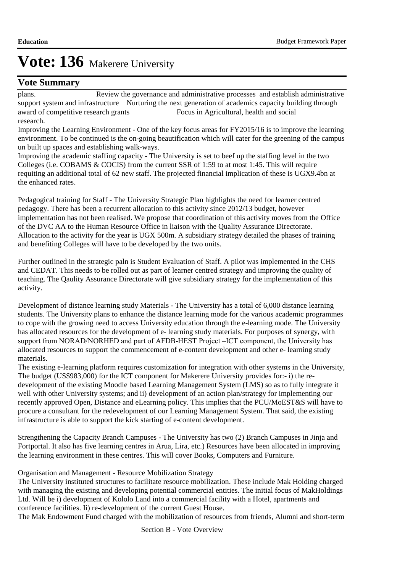## **Vote Summary**

plans. Review the governance and administrative processes and establish administrative support system and infrastructure Nurturing the next generation of academics capacity building through award of competitive research grants Focus in Agricultural, health and social research.

Improving the Learning Environment - One of the key focus areas for FY2015/16 is to improve the learning environment. To be continued is the on-going beautification which will cater for the greening of the campus un built up spaces and establishing walk-ways.

Improving the academic staffing capacity - The University is set to beef up the staffing level in the two Colleges (i.e. COBAMS & COCIS) from the current SSR of 1:59 to at most 1:45. This will require requiting an additional total of 62 new staff. The projected financial implication of these is UGX9.4bn at the enhanced rates.

Pedagogical training for Staff - The University Strategic Plan highlights the need for learner centred pedagogy. There has been a recurrent allocation to this activity since 2012/13 budget, however implementation has not been realised. We propose that coordination of this activity moves from the Office of the DVC AA to the Human Resource Office in liaison with the Quality Assurance Directorate. Allocation to the activity for the year is UGX 500m. A subsidiary strategy detailed the phases of training and benefiting Colleges will have to be developed by the two units.

Further outlined in the strategic paln is Student Evaluation of Staff. A pilot was implemented in the CHS and CEDAT. This needs to be rolled out as part of learner centred strategy and improving the quality of teaching. The Qaulity Assurance Directorate will give subsidiary strategy for the implementation of this activity.

Development of distance learning study Materials - The University has a total of 6,000 distance learning students. The University plans to enhance the distance learning mode for the various academic programmes to cope with the growing need to access University education through the e-learning mode. The University has allocated resources for the development of e- learning study materials. For purposes of synergy, with support from NORAD/NORHED and part of AFDB-HEST Project –ICT component, the University has allocated resources to support the commencement of e-content development and other e- learning study materials.

The existing e-learning platform requires customization for integration with other systems in the University, The budget (US\$983,000) for the ICT component for Makerere University provides for:- i) the redevelopment of the existing Moodle based Learning Management System (LMS) so as to fully integrate it well with other University systems; and ii) development of an action plan/strategy for implementing our recently approved Open, Distance and eLearning policy. This implies that the PCU/MoEST&S will have to procure a consultant for the redevelopment of our Learning Management System. That said, the existing infrastructure is able to support the kick starting of e-content development.

Strengthening the Capacity Branch Campuses - The University has two (2) Branch Campuses in Jinja and Fortportal. It also has five learning centres in Arua, Lira, etc.) Resources have been allocated in improving the learning environment in these centres. This will cover Books, Computers and Furniture.

### Organisation and Management - Resource Mobilization Strategy

The University instituted structures to facilitate resource mobilization. These include Mak Holding charged with managing the existing and developing potential commercial entities. The initial focus of MakHoldings Ltd. Will be i) development of Kololo Land into a commercial facility with a Hotel, apartments and conference facilities. Ii) re-development of the current Guest House.

The Mak Endowment Fund charged with the mobilization of resources from friends, Alumni and short-term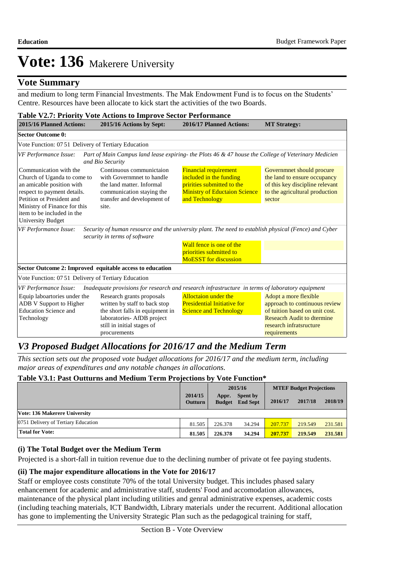### **Vote Summary**

and medium to long term Financial Investments. The Mak Endowment Fund is to focus on the Students' Centre. Resources have been allocate to kick start the activities of the two Boards.

| <b>Table V2.7: Priority Vote Actions to Improve Sector Performance</b>                                                                         |                                                                                                                                                                           |                                                                                                                                                 |                                                                                                                                                                          |  |  |  |
|------------------------------------------------------------------------------------------------------------------------------------------------|---------------------------------------------------------------------------------------------------------------------------------------------------------------------------|-------------------------------------------------------------------------------------------------------------------------------------------------|--------------------------------------------------------------------------------------------------------------------------------------------------------------------------|--|--|--|
| 2015/16 Planned Actions:                                                                                                                       | 2015/16 Actions by Sept:                                                                                                                                                  | 2016/17 Planned Actions:                                                                                                                        | <b>MT Strategy:</b>                                                                                                                                                      |  |  |  |
| <b>Sector Outcome 0:</b>                                                                                                                       |                                                                                                                                                                           |                                                                                                                                                 |                                                                                                                                                                          |  |  |  |
| Vote Function: 07 51 Delivery of Tertiary Education                                                                                            |                                                                                                                                                                           |                                                                                                                                                 |                                                                                                                                                                          |  |  |  |
| VF Performance Issue:                                                                                                                          | Part of Main Campus land lease expiring- the Plots 46 & 47 house the College of Veterinary Medicien<br>and Bio Security                                                   |                                                                                                                                                 |                                                                                                                                                                          |  |  |  |
| Communication with the<br>Church of Uganda to come to<br>an amicable position with<br>respect to payment details.<br>Petition ot President and | Continuous communictaion<br>with Governmnet to handle<br>the land matter. Informal<br>communication staying the<br>transfer and development of                            | <b>Financial requirement</b><br>included in the funding<br>pririties submitted to the<br><b>Ministry of Eductaion Science</b><br>and Technology | Governmnet should procure<br>the land to ensure occupancy<br>of this key discipline relevant<br>to the agricultural production<br>sector                                 |  |  |  |
| Ministry of Finance for this<br>item to be included in the<br><b>University Budget</b>                                                         | site.                                                                                                                                                                     |                                                                                                                                                 |                                                                                                                                                                          |  |  |  |
| VF Performance Issue:                                                                                                                          | Security of human resource and the university plant. The need to establish physical (Fence) and Cyber<br>security in terms of software                                    |                                                                                                                                                 |                                                                                                                                                                          |  |  |  |
|                                                                                                                                                |                                                                                                                                                                           | Wall fence is one of the                                                                                                                        |                                                                                                                                                                          |  |  |  |
|                                                                                                                                                |                                                                                                                                                                           | priorities submitted to<br><b>MoESST</b> for discussion                                                                                         |                                                                                                                                                                          |  |  |  |
|                                                                                                                                                | Sector Outcome 2: Improved equitable access to education                                                                                                                  |                                                                                                                                                 |                                                                                                                                                                          |  |  |  |
| Vote Function: 07 51 Delivery of Tertiary Education                                                                                            |                                                                                                                                                                           |                                                                                                                                                 |                                                                                                                                                                          |  |  |  |
| VF Performance Issue:                                                                                                                          | Inadequate provisions for research and research infrastructure in terms of laboratory equipment                                                                           |                                                                                                                                                 |                                                                                                                                                                          |  |  |  |
| Equip laboartories under the<br>ADB V Support to Higher<br><b>Education Science and</b><br>Technology                                          | Research grants proposals<br>written by staff to back stop<br>the short falls in equipment in<br>laboratories- AfDB project<br>still in initial stages of<br>procurements | <b>Alloctation under the</b><br><b>Presidential Initiative for</b><br><b>Science and Technology</b>                                             | Adopt a more flexible<br>approach to continuous review<br>of tuition based on unit cost.<br><b>Reseacrh Audit to dtermine</b><br>research infratsructure<br>requirements |  |  |  |

## *V3 Proposed Budget Allocations for 2016/17 and the Medium Term*

*This section sets out the proposed vote budget allocations for 2016/17 and the medium term, including major areas of expenditures and any notable changes in allocations.* 

### **Table V3.1: Past Outturns and Medium Term Projections by Vote Function\***

|                                     |                           | 2015/16                |                             | <b>MTEF Budget Projections</b> |         |         |
|-------------------------------------|---------------------------|------------------------|-----------------------------|--------------------------------|---------|---------|
|                                     | 2014/15<br><b>Outturn</b> | Appr.<br><b>Budget</b> | Spent by<br><b>End Sept</b> | 2016/17                        | 2017/18 | 2018/19 |
| Vote: 136 Makerere University       |                           |                        |                             |                                |         |         |
| 0751 Delivery of Tertiary Education | 81.505                    | 226.378                | 34.294                      | 207.737                        | 219.549 | 231.581 |
| <b>Total for Vote:</b>              | 81.505                    | 226.378                | 34.294                      | 207.737                        | 219.549 | 231.581 |

#### **(i) The Total Budget over the Medium Term**

Projected is a short-fall in tuition revenue due to the declining number of private ot fee paying students.

### **(ii) The major expenditure allocations in the Vote for 2016/17**

Staff or employee costs constitute 70% of the total University budget. This includes phased salary enhancement for academic and administrative staff, students' Food and accomodation allowances, maintenance of the physical plant including utilities and genral administrative expenses, academic costs (including teaching materials, ICT Bandwidth, Library materials under the recurrent. Additional allocation has gone to implementing the University Strategic Plan such as the pedagogical training for staff,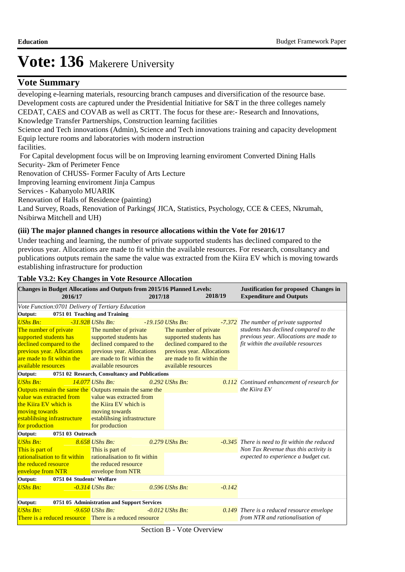## **Vote Summary**

developing e-learning materials, resourcing branch campuses and diversification of the resource base. Development costs are captured under the Presidential Initiative for S&T in the three colleges namely CEDAT, CAES and COVAB as well as CRTT. The focus for these are:- Research and Innovations, Knowledge Transfer Partnerships, Construction learning facilities Science and Tech innovations (Admin), Science and Tech innovations training and capacity development Equip lecture rooms and laboratories with modern instruction facilities. For Capital development focus will be on Improving learning enviroment Converted Dining Halls Security- 2km of Perimeter Fence Renovation of CHUSS- Former Faculty of Arts Lecture Improving learning enviroment Jinja Campus

Services - Kabanyolo MUARIK

 Renovation of Halls of Residence (painting)

 Land Survey, Roads, Renovation of Parkings( JICA, Statistics, Psychology, CCE & CEES, Nkrumah, Nsibirwa Mitchell and UH)

### **(iii) The major planned changes in resource allocations within the Vote for 2016/17**

Under teaching and learning, the number of private supported students has declined compared to the previous year. Allocations are made to fit within the available resources. For research, consultancy and publications outputs remain the same the value was extracted from the Kiira EV which is moving towards establishing infrastructure for production

#### **Table V3.2: Key Changes in Vote Resource Allocation**

| Changes in Budget Allocations and Outputs from 2015/16 Planned Levels:<br>2016/17 |                                                | 2017/18 |                            | 2018/19  | <b>Justification for proposed Changes in</b><br><b>Expenditure and Outputs</b> |  |
|-----------------------------------------------------------------------------------|------------------------------------------------|---------|----------------------------|----------|--------------------------------------------------------------------------------|--|
| Vote Function: 0701 Delivery of Tertiary Education                                |                                                |         |                            |          |                                                                                |  |
| Output:                                                                           | 0751 01 Teaching and Training                  |         |                            |          |                                                                                |  |
| <b>UShs Bn:</b>                                                                   | $-31.928$ UShs Bn:                             |         | $-19.150$ UShs Bn.         |          | -7.372 The number of private supported                                         |  |
| The number of private                                                             | The number of private                          |         | The number of private      |          | students has declined compared to the                                          |  |
| supported students has                                                            | supported students has                         |         | supported students has     |          | previous year. Allocations are made to                                         |  |
| declined compared to the                                                          | declined compared to the                       |         | declined compared to the   |          | fit within the available resources                                             |  |
| previous year. Allocations                                                        | previous year. Allocations                     |         | previous year. Allocations |          |                                                                                |  |
| are made to fit within the                                                        | are made to fit within the                     |         | are made to fit within the |          |                                                                                |  |
| available resources                                                               | available resources                            |         | available resources        |          |                                                                                |  |
| Output:                                                                           | 0751 02 Research, Consultancy and Publications |         |                            |          |                                                                                |  |
| <b>UShs Bn:</b>                                                                   | $14.077$ UShs Bn:                              |         | $0.292$ UShs Bn:           |          | 0.112 Continued enhancement of research for                                    |  |
| Outputs remain the same the Outputs remain the same the                           |                                                |         |                            |          | the Kiira EV                                                                   |  |
| value was extracted from                                                          | value was extracted from                       |         |                            |          |                                                                                |  |
| the Kiira EV which is                                                             | the Kiira EV which is                          |         |                            |          |                                                                                |  |
| moving towards                                                                    | moving towards                                 |         |                            |          |                                                                                |  |
| establihsing infrastructure                                                       | establihsing infrastructure                    |         |                            |          |                                                                                |  |
| for production                                                                    | for production                                 |         |                            |          |                                                                                |  |
| 0751 03 Outreach<br>Output:                                                       |                                                |         |                            |          |                                                                                |  |
| <b>UShs Bn:</b>                                                                   | 8.658 UShs Bn:                                 |         | $0.279$ UShs Bn:           |          | -0.345 There is need to fit within the reduced                                 |  |
| This is part of                                                                   | This is part of                                |         |                            |          | Non Tax Revenue thus this activity is                                          |  |
| rationalisation to fit within                                                     | rationalisation to fit within                  |         |                            |          | expected to experience a budget cut.                                           |  |
| the reduced resource                                                              | the reduced resource                           |         |                            |          |                                                                                |  |
| envelope from NTR                                                                 | envelope from NTR                              |         |                            |          |                                                                                |  |
| Output:<br>0751 04 Students' Welfare                                              |                                                |         |                            |          |                                                                                |  |
| <b>UShs Bn:</b>                                                                   | $-0.314$ UShs Bn:                              |         | $0.596$ UShs Bn:           | $-0.142$ |                                                                                |  |
|                                                                                   |                                                |         |                            |          |                                                                                |  |
| Output:                                                                           | 0751 05 Administration and Support Services    |         |                            |          |                                                                                |  |
| <b>UShs Bn:</b>                                                                   | $-9.650$ UShs Bn:                              |         | $-0.012$ UShs Bn:          |          | 0.149 There is a reduced resource envelope                                     |  |
| <b>There is a reduced resource</b> There is a reduced resource                    |                                                |         |                            |          | from NTR and rationalisation of                                                |  |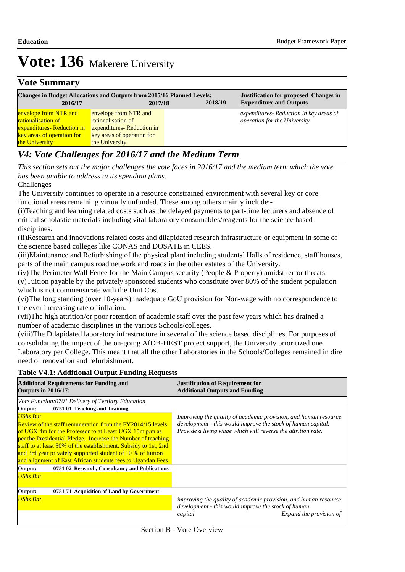### **Vote Summary**

| <b>Changes in Budget Allocations and Outputs from 2015/16 Planned Levels:</b><br>2016/17<br>2017/18 |                            | 2018/19 | <b>Justification for proposed Changes in</b><br><b>Expenditure and Outputs</b> |
|-----------------------------------------------------------------------------------------------------|----------------------------|---------|--------------------------------------------------------------------------------|
| envelope from NTR and                                                                               | envelope from NTR and      |         | expenditures - Reduction in key areas of                                       |
| <b>rationalisation of</b>                                                                           | rationalisation of         |         | <i>operation for the University</i>                                            |
| expenditures-Reduction in                                                                           | expenditures-Reduction in  |         |                                                                                |
| key areas of operation for                                                                          | key areas of operation for |         |                                                                                |
| the University                                                                                      | the University             |         |                                                                                |

## *V4: Vote Challenges for 2016/17 and the Medium Term*

*This section sets out the major challenges the vote faces in 2016/17 and the medium term which the vote has been unable to address in its spending plans.*

 Challenges

The University continues to operate in a resource constrained environment with several key or core functional areas remaining virtually unfunded. These among others mainly include:-

(i) Teaching and learning related costs such as the delayed payments to part-time lecturers and absence of critical scholastic materials including vital laboratory consumables/reagents for the science based disciplines.

(ii) Research and innovations related costs and dilapidated research infrastructure or equipment in some of the science based colleges like CONAS and DOSATE in CEES.

(iii) Maintenance and Refurbishing of the physical plant including students' Halls of residence, staff houses, parts of the main campus road network and roads in the other estates of the University.

(iv) The Perimeter Wall Fence for the Main Campus security (People & Property) amidst terror threats. (v) Tuition payable by the privately sponsored students who constitute over  $80\%$  of the student population which is not commensurate with the Unit Cost

(vi) The long standing (over 10-years) inadequate GoU provision for Non-wage with no correspondence to the ever increasing rate of inflation.

(vii) The high attrition/or poor retention of academic staff over the past few years which has drained a number of academic disciplines in the various Schools/colleges.

(viii) The Dilapidated laboratory infrastructure in several of the science based disciplines. For purposes of consolidating the impact of the on-going AfDB-HEST project support, the University prioritized one Laboratory per College. This meant that all the other Laboratories in the Schools/Colleges remained in dire need of renovation and refurbishment.

### **Table V4.1: Additional Output Funding Requests**

| <b>Additional Requirements for Funding and</b><br><b>Outputs in 2016/17:</b>                                                                                                                                                                                                                                                                                                                             | <b>Justification of Requirement for</b><br><b>Additional Outputs and Funding</b>                                                                                                                |  |  |
|----------------------------------------------------------------------------------------------------------------------------------------------------------------------------------------------------------------------------------------------------------------------------------------------------------------------------------------------------------------------------------------------------------|-------------------------------------------------------------------------------------------------------------------------------------------------------------------------------------------------|--|--|
| Vote Function:0701 Delivery of Tertiary Education                                                                                                                                                                                                                                                                                                                                                        |                                                                                                                                                                                                 |  |  |
| 0751 01 Teaching and Training<br>Output:                                                                                                                                                                                                                                                                                                                                                                 |                                                                                                                                                                                                 |  |  |
| <b>UShs Bn:</b><br>Review of the staff remuneration from the FY2014/15 levels<br>of UGX 4m for the Professor to at Least UGX 15m p.m as<br>per the Presidential Pledge. Increase the Number of teaching<br>staff to at least 50% of the establishment. Subsidy to 1st, 2nd<br>and 3rd year privately supported student of 10 % of tuition<br>and alignment of East African students fees to Ugandan Fees | Improving the quality of academic provision, and human resource<br>development - this would improve the stock of human capital.<br>Provide a living wage which will reverse the attrition rate. |  |  |
| 0751 02 Research, Consultancy and Publications<br>Output:                                                                                                                                                                                                                                                                                                                                                |                                                                                                                                                                                                 |  |  |
| UShs Bn:                                                                                                                                                                                                                                                                                                                                                                                                 |                                                                                                                                                                                                 |  |  |
| Output:<br>0751 71 Acquisition of Land by Government                                                                                                                                                                                                                                                                                                                                                     |                                                                                                                                                                                                 |  |  |
| <b>UShs Bn:</b>                                                                                                                                                                                                                                                                                                                                                                                          | improving the quality of academic provision, and human resource<br>development - this would improve the stock of human<br>Expand the provision of<br>capital.                                   |  |  |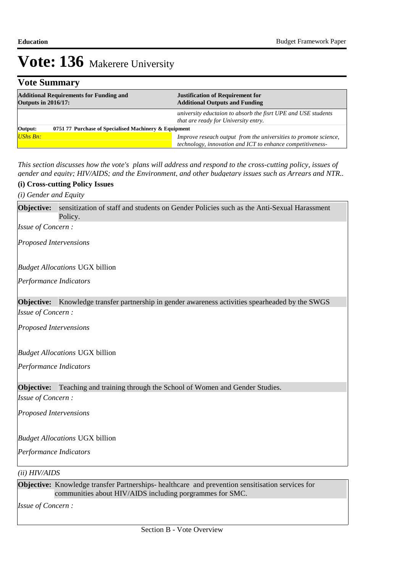## **Vote Summary**

| <b>Additional Requirements for Funding and</b><br><b>Outputs in 2016/17:</b> |  | <b>Justification of Requirement for</b><br><b>Additional Outputs and Funding</b>                                               |  |  |
|------------------------------------------------------------------------------|--|--------------------------------------------------------------------------------------------------------------------------------|--|--|
|                                                                              |  | university eductaion to absorb the fisrt UPE and USE students<br>that are ready for University entry.                          |  |  |
| 0751 77 Purchase of Specialised Machinery & Equipment<br>Output:             |  |                                                                                                                                |  |  |
| UShs Bn:                                                                     |  | Improve reseach output from the universities to promote science,<br>technology, innovation and ICT to enhance competitiveness- |  |  |

*This section discusses how the vote's plans will address and respond to the cross-cutting policy, issues of gender and equity; HIV/AIDS; and the Environment, and other budgetary issues such as Arrears and NTR..* 

#### **(i) Cross-cutting Policy Issues**

*(i) Gender and Equity*

Objective: sensitization of staff and students on Gender Policies such as the Anti-Sexual Harassment Policy. *Issue of Concern :*

*Proposed Intervensions* 

*Budget Allocations*  UGX billion

*Performance Indicators*

**Objective:** Knowledge transfer partnership in gender awareness activities spearheaded by the SWGS *Issue of Concern :*

*Proposed Intervensions* 

*Budget Allocations*  UGX billion

*Performance Indicators*

#### **Objective:** Teaching and training through the School of Women and Gender Studies.

*Issue of Concern :*

*Proposed Intervensions* 

*Budget Allocations*  UGX billion

*Performance Indicators*

#### *(ii) HIV/AIDS*

**Objective:** Knowledge transfer Partnerships- healthcare and prevention sensitisation services for communities about HIV/AIDS including porgrammes for SMC.

*Issue of Concern :*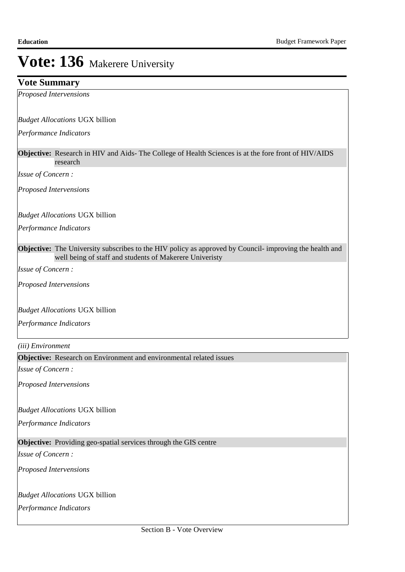### **Vote Summary**

*Proposed Intervensions* 

*Budget Allocations*  UGX billion

*Performance Indicators*

**Objective:** Research in HIV and Aids- The College of Health Sciences is at the fore front of HIV/AIDS research

*Issue of Concern :*

*Proposed Intervensions* 

*Budget Allocations*  UGX billion

*Performance Indicators*

**Objective:** The University subscribes to the HIV policy as approved by Council- improving the health and well being of staff and students of Makerere Univeristy

*Issue of Concern :*

*Proposed Intervensions* 

*Budget Allocations*  UGX billion

*Performance Indicators*

*(iii) Environment*

**Objective:** Research on Environment and environmental related issues

*Issue of Concern :*

*Proposed Intervensions* 

*Budget Allocations*  UGX billion

*Performance Indicators*

### **Objective:** Providing geo-spatial services through the GIS centre

*Issue of Concern :*

*Proposed Intervensions* 

*Budget Allocations*  UGX billion

*Performance Indicators*